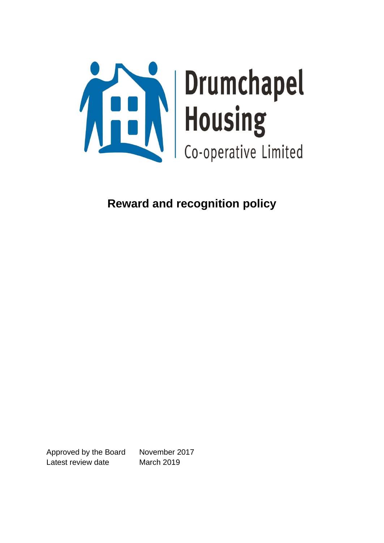

**Reward and recognition policy**

Approved by the Board November 2017 Latest review date March 2019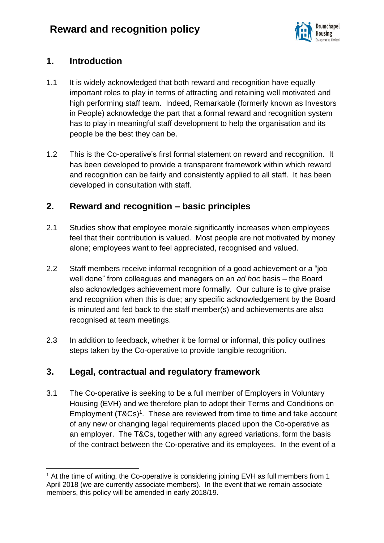

## **1. Introduction**

- 1.1 It is widely acknowledged that both reward and recognition have equally important roles to play in terms of attracting and retaining well motivated and high performing staff team. Indeed, Remarkable (formerly known as Investors in People) acknowledge the part that a formal reward and recognition system has to play in meaningful staff development to help the organisation and its people be the best they can be.
- 1.2 This is the Co-operative's first formal statement on reward and recognition. It has been developed to provide a transparent framework within which reward and recognition can be fairly and consistently applied to all staff. It has been developed in consultation with staff.

# **2. Reward and recognition – basic principles**

- 2.1 Studies show that employee morale significantly increases when employees feel that their contribution is valued. Most people are not motivated by money alone; employees want to feel appreciated, recognised and valued.
- 2.2 Staff members receive informal recognition of a good achievement or a "job well done" from colleagues and managers on an *ad hoc* basis – the Board also acknowledges achievement more formally. Our culture is to give praise and recognition when this is due; any specific acknowledgement by the Board is minuted and fed back to the staff member(s) and achievements are also recognised at team meetings.
- 2.3 In addition to feedback, whether it be formal or informal, this policy outlines steps taken by the Co-operative to provide tangible recognition.

# **3. Legal, contractual and regulatory framework**

3.1 The Co-operative is seeking to be a full member of Employers in Voluntary Housing (EVH) and we therefore plan to adopt their Terms and Conditions on Employment (T&Cs)<sup>1</sup>. These are reviewed from time to time and take account of any new or changing legal requirements placed upon the Co-operative as an employer. The T&Cs, together with any agreed variations, form the basis of the contract between the Co-operative and its employees. In the event of a

 $1$  At the time of writing, the Co-operative is considering joining EVH as full members from 1 April 2018 (we are currently associate members). In the event that we remain associate members, this policy will be amended in early 2018/19.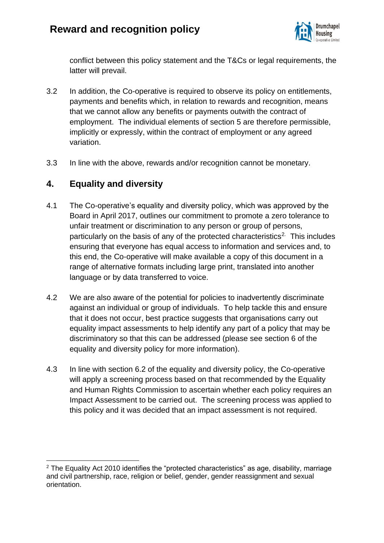

conflict between this policy statement and the T&Cs or legal requirements, the latter will prevail.

- 3.2 In addition, the Co-operative is required to observe its policy on entitlements, payments and benefits which, in relation to rewards and recognition, means that we cannot allow any benefits or payments outwith the contract of employment. The individual elements of section 5 are therefore permissible, implicitly or expressly, within the contract of employment or any agreed variation.
- 3.3 In line with the above, rewards and/or recognition cannot be monetary.

### **4. Equality and diversity**

- 4.1 The Co-operative's equality and diversity policy, which was approved by the Board in April 2017, outlines our commitment to promote a zero tolerance to unfair treatment or discrimination to any person or group of persons, particularly on the basis of any of the protected characteristics<sup>2.</sup> This includes ensuring that everyone has equal access to information and services and, to this end, the Co-operative will make available a copy of this document in a range of alternative formats including large print, translated into another language or by data transferred to voice.
- 4.2 We are also aware of the potential for policies to inadvertently discriminate against an individual or group of individuals. To help tackle this and ensure that it does not occur, best practice suggests that organisations carry out equality impact assessments to help identify any part of a policy that may be discriminatory so that this can be addressed (please see section 6 of the equality and diversity policy for more information).
- 4.3 In line with section 6.2 of the equality and diversity policy, the Co-operative will apply a screening process based on that recommended by the Equality and Human Rights Commission to ascertain whether each policy requires an Impact Assessment to be carried out. The screening process was applied to this policy and it was decided that an impact assessment is not required.

 $2$  The Equality Act 2010 identifies the "protected characteristics" as age, disability, marriage and civil partnership, race, religion or belief, gender, gender reassignment and sexual orientation.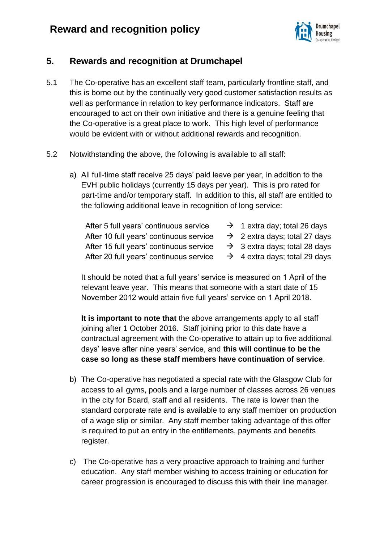

# **5. Rewards and recognition at Drumchapel**

- 5.1 The Co-operative has an excellent staff team, particularly frontline staff, and this is borne out by the continually very good customer satisfaction results as well as performance in relation to key performance indicators. Staff are encouraged to act on their own initiative and there is a genuine feeling that the Co-operative is a great place to work. This high level of performance would be evident with or without additional rewards and recognition.
- 5.2 Notwithstanding the above, the following is available to all staff:
	- a) All full-time staff receive 25 days' paid leave per year, in addition to the EVH public holidays (currently 15 days per year). This is pro rated for part-time and/or temporary staff. In addition to this, all staff are entitled to the following additional leave in recognition of long service:
		- After 5 full years' continuous service  $\rightarrow$  1 extra day; total 26 days After 10 full years' continuous service  $\rightarrow$  2 extra days; total 27 days After 15 full years' continuous service  $\rightarrow$  3 extra days; total 28 days
			-
			-
			-
		- After 20 full years' continuous service  $\rightarrow$  4 extra days; total 29 days

It should be noted that a full years' service is measured on 1 April of the relevant leave year. This means that someone with a start date of 15 November 2012 would attain five full years' service on 1 April 2018.

**It is important to note that** the above arrangements apply to all staff joining after 1 October 2016. Staff joining prior to this date have a contractual agreement with the Co-operative to attain up to five additional days' leave after nine years' service, and **this will continue to be the case so long as these staff members have continuation of service**.

- b) The Co-operative has negotiated a special rate with the Glasgow Club for access to all gyms, pools and a large number of classes across 26 venues in the city for Board, staff and all residents. The rate is lower than the standard corporate rate and is available to any staff member on production of a wage slip or similar. Any staff member taking advantage of this offer is required to put an entry in the entitlements, payments and benefits register.
- c) The Co-operative has a very proactive approach to training and further education. Any staff member wishing to access training or education for career progression is encouraged to discuss this with their line manager.